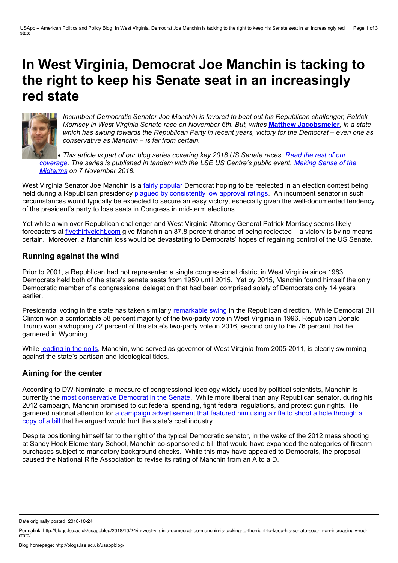# **In West Virginia, Democrat Joe Manchin is tacking to the right to keep his Senate seat in an increasingly red state**



*Incumbent Democratic Senator Joe Manchin is favored to beat out his Republican challenger, Patrick Morrisey in West Virginia Senate race on November 6th. But, writes* **Matthew [Jacobsmeier](https://wp.me/p3I2YF-8f8#Author)***, in a state* which has swung towards the Republican Party in recent years, victory for the Democrat – even one as *conservative as Manchin – is far from certain.*

• This article is part of our blog series covering key 2018 US Senate races. Read the rest of our [coverage.](http://bit.ly/2018Sen) The series is published in tandem with the LSE US Centre's public event, Making Sense of the *Midterms on 7 [November](http://www.lse.ac.uk/Events/2018/11/20181107t1830vSZT/making-sense) 2018.*

West Virginia Senator Joe Manchin is a fairly [popular](https://morningconsult.com/2018/07/25/americas-most-and-least-popular-senators-2/) Democrat hoping to be reelected in an election contest being held during a Republican presidency plagued by [consistently](https://news.gallup.com/poll/203207/trump-job-approval-weekly.aspx) low approval ratings. An incumbent senator in such circumstances would typically be expected to secure an easy victory, especially given the well-documented tendency of the president's party to lose seats in Congress in mid-term elections.

Yet while a win over Republican challenger and West Virginia Attorney General Patrick Morrisey seems likely – forecasters at [fivethirtyeight.com](https://projects.fivethirtyeight.com/2018-midterm-election-forecast/senate/) give Manchin an 87.8 percent chance of being reelected – a victory is by no means certain. Moreover, a Manchin loss would be devastating to Democrats' hopes of regaining control of the US Senate.

## **Running against the wind**

Prior to 2001, a Republican had not represented a single congressional district in West Virginia since 1983. Democrats held both of the state's senate seats from 1959 until 2015. Yet by 2015, Manchin found himself the only Democratic member of a congressional delegation that had been comprised solely of Democrats only 14 years earlier.

Presidential voting in the state has taken similarly [remarkable](https://www.nbcnews.com/meet-the-press/west-virginia-how-bluest-state-became-reddest-n697491) swing in the Republican direction. While Democrat Bill Clinton won a comfortable 58 percent majority of the two-party vote in West Virginia in 1996, Republican Donald Trump won a whopping 72 percent of the state's two-party vote in 2016, second only to the 76 percent that he garnered in Wyoming.

While [leading](https://www.realclearpolitics.com/epolls/2018/senate/wv/west_virginia_senate_morrisey_vs_manchin-6258.html) in the polls, Manchin, who served as governor of West Virginia from 2005-2011, is clearly swimming against the state's partisan and ideological tides.

# **Aiming forthe center**

According to DW-Nominate, a measure of congressional ideology widely used by political scientists, Manchin is currently the most [conservative](https://www.voteview.com/congress/senate/text) Democrat in the Senate. While more liberal than any Republican senator, during his 2012 campaign, Manchin promised to cut federal spending, fight federal regulations, and protect gun rights. He garnered national attention for a campaign [advertisement](https://www.youtube.com/watch?v=xIJORBRpOPM) that featured him using a rifle to shoot a hole through a copy of a bill that he argued would hurt the state's coal industry.

Despite positioning himself far to the right of the typical Democratic senator, in the wake of the 2012 mass shooting at Sandy Hook Elementary School, Manchin co-sponsored a bill that would have expanded the categories of firearm purchases subject to mandatory background checks. While this may have appealed to Democrats, the proposal caused the National Rifle Association to revise its rating of Manchin from an A to a D.

Date originally posted: 2018-10-24

Permalink: http://blogs.lse.ac.uk/usappblog/2018/10/24/in-west-virginia-democrat-joe-manchin-is-tacking-to-the-right-to-keep-his-senate-seat-in-an-increasingly-red-<br>state/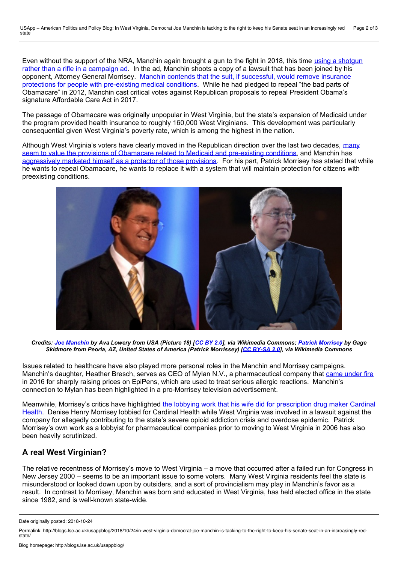Even without the support of the NRA, Manchin again brought a gun to the fight in 2018, this time using a shotgun rather than a rifle in a [campaign](https://www.youtube.com/watch?v=tNte7Vr-IJg) ad. In the ad, Manchin shoots a copy of a lawsuit that has been joined by his opponent, Attorney General Morrisey. Manchin contends that the suit, if successful, would remove insurance protections for people with [pre-existing](https://www.politifact.com/truth-o-meter/statements/2018/jun/26/joe-manchin/did-patrick-morrisey-join-lawsuit-allow-insurers-d/) medical conditions. While he had pledged to repeal "the bad parts of Obamacare" in 2012, Manchin cast critical votes against Republican proposals to repeal President Obama's signature Affordable Care Act in 2017.

The passage of Obamacare was originally unpopular in West Virginia, but the state's expansion of Medicaid under the program provided health insurance to roughly 160,000 West Virginians. This development was particularly consequential given West Virginia's poverty rate, which is among the highest in the nation.

Although West Virginia's voters have clearly moved in the Republican direction over the last two decades, many seem to value the provisions of [Obamacare](https://mountainmessenger.com/ama-poll-of-west-virginia-shows-strong-opposition-to-gop-health-reform-proposals/) related to Medicaid and pre-existing conditions, and Manchin has [aggressively](https://www.nytimes.com/2018/09/08/us/politics/manchin-west-virginia-healthcare.html) marketed himself as a protector of those provisions. For his part, Patrick Morrisey has stated that while he wants to repeal Obamacare, he wants to replace it with a system that will maintain protection for citizens with preexisting conditions.



Credits: Joe [Manchin](https://commons.wikimedia.org/wiki/File:Joe_Manchin_(2894754698)_(cropped1).png) by Ava Lowery from USA (Picture 18) [\[CC](https://creativecommons.org/licenses/by/2.0) BY 2.0], via Wikimedia Commons; Patrick [Morrisey](https://commons.wikimedia.org/wiki/File:Patrick_Morrisey_(32773204880).jpg) by Gage *Skidmore from Peoria, AZ, United States of America (Patrick Morrissey) [CC [BY-SA](https://creativecommons.org/licenses/by-sa/2.0) 2.0], via Wikimedia Commons*

Issues related to healthcare have also played more personal roles in the Manchin and Morrisey campaigns. Manchin's daughter, Heather Bresch, serves as CEO of Mylan N.V., a pharmaceutical company that came [under](https://www.washingtonpost.com/news/wonk/wp/2016/09/21/watch-live-lawmakers-to-grill-executive-who-hiked-the-price-of-lifesaving-drug-epipen/?utm_term=.5f23ab4363d5) fire in 2016 for sharply raising prices on EpiPens, which are used to treat serious allergic reactions. Manchin's connection to Mylan has been highlighted in a pro-Morrisey television advertisement.

Meanwhile, Morrisey's critics have highlighted the lobbying work that his wife did for [prescription](https://www.politifact.com/truth-o-meter/article/2018/mar/27/closer-look-patrick-morriseys-family-ties-big-phar/) drug maker Cardinal Health. Denise Henry Morrisey lobbied for Cardinal Health while West Virginia was involved in a lawsuit against the company for allegedly contributing to the state's severe opioid addiction crisis and overdose epidemic. Patrick Morrisey's own work as a lobbyist for pharmaceutical companies prior to moving to West Virginia in 2006 has also been heavily scrutinized.

# **A real West Virginian?**

The relative recentness of Morrisey's move to West Virginia – a move that occurred after a failed run for Congress in New Jersey 2000 – seems to be an important issue to some voters. Many West Virginia residents feel the state is misunderstood or looked down upon by outsiders, and a sort of provincialism may play in Manchin's favor as a result. In contrast to Morrisey, Manchin was born and educated in West Virginia, has held elected office in the state since 1982, and is well-known state-wide.

Date originally posted: 2018-10-24

Permalink: http://blogs.lse.ac.uk/usappblog/2018/10/24/in-west-virginia-democrat-joe-manchin-is-tacking-to-the-right-to-keep-his-senate-seat-in-an-increasingly-red-<br>state/